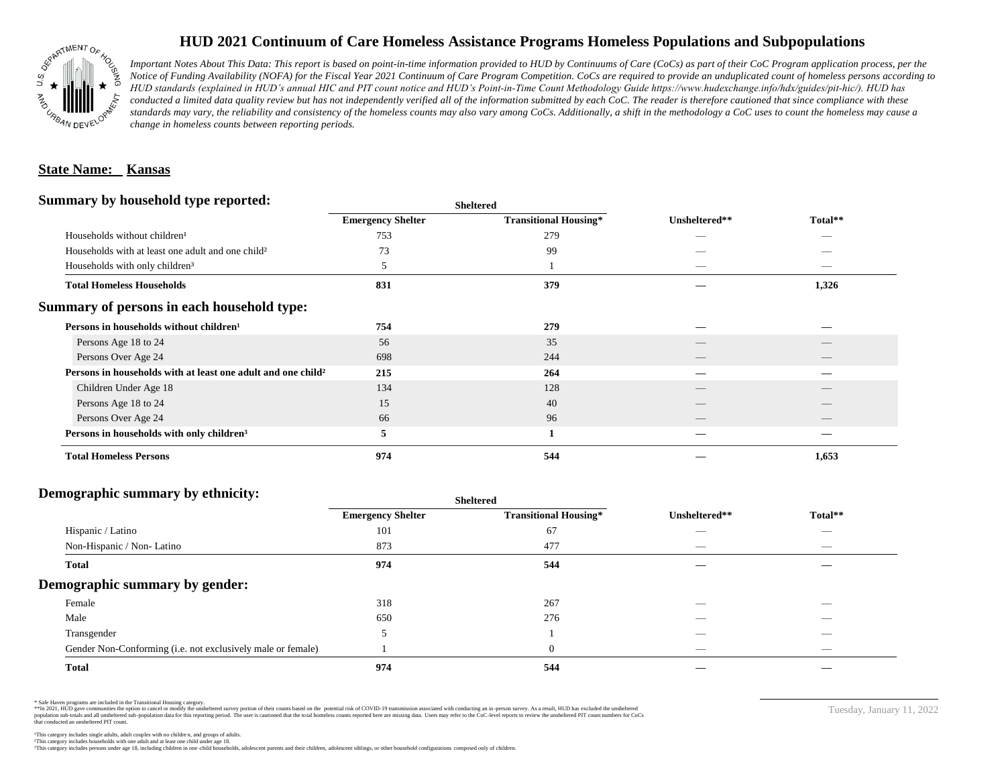

# **HUD 2021 Continuum of Care Homeless Assistance Programs Homeless Populations and Subpopulations**

*Important Notes About This Data: This report is based on point-in-time information provided to HUD by Continuums of Care (CoCs) as part of their CoC Program application process, per the Notice of Funding Availability (NOFA) for the Fiscal Year 2021 Continuum of Care Program Competition. CoCs are required to provide an unduplicated count of homeless persons according to HUD standards (explained in HUD's annual HIC and PIT count notice and HUD's Point-in-Time Count Methodology Guide https://www.hudexchange.info/hdx/guides/pit-hic/). HUD has*  conducted a limited data quality review but has not independently verified all of the information submitted by each CoC. The reader is therefore cautioned that since compliance with these standards may vary, the reliability and consistency of the homeless counts may also vary among CoCs. Additionally, a shift in the methodology a CoC uses to count the homeless may cause a *change in homeless counts between reporting periods.*

#### **State Name: Kansas**

#### **Summary by household type reported:**

| <b>Emergency Shelter</b> | <b>Transitional Housing*</b>                                             | Unsheltered** | Total**                  |
|--------------------------|--------------------------------------------------------------------------|---------------|--------------------------|
| 753                      | 279                                                                      | _             |                          |
| 73                       | 99                                                                       |               |                          |
| 5                        |                                                                          |               | _                        |
| 831                      | 379                                                                      |               | 1,326                    |
|                          |                                                                          |               |                          |
| 754                      | 279                                                                      |               |                          |
| 56                       | 35                                                                       |               |                          |
| 698                      | 244                                                                      |               |                          |
| 215                      | 264                                                                      |               |                          |
| 134                      | 128                                                                      |               |                          |
| 15                       | 40                                                                       |               |                          |
| 66                       | 96                                                                       |               | $\overline{\phantom{a}}$ |
| 5                        |                                                                          |               |                          |
| 974                      | 544                                                                      |               | 1,653                    |
|                          | Persons in households with at least one adult and one child <sup>2</sup> | patter        |                          |

**Sheltered**

## **Demographic summary by ethnicity:**

|                                                             | <b>Sheltered</b>         |                              |                          |                          |  |
|-------------------------------------------------------------|--------------------------|------------------------------|--------------------------|--------------------------|--|
|                                                             | <b>Emergency Shelter</b> | <b>Transitional Housing*</b> | Unsheltered**            | Total**                  |  |
| Hispanic / Latino                                           | 101                      | 67                           |                          | $\overline{\phantom{a}}$ |  |
| Non-Hispanic / Non-Latino                                   | 873                      | 477                          | __                       | $\overline{\phantom{a}}$ |  |
| <b>Total</b>                                                | 974                      | 544                          |                          |                          |  |
| Demographic summary by gender:                              |                          |                              |                          |                          |  |
| Female                                                      | 318                      | 267                          | _                        | _                        |  |
| Male                                                        | 650                      | 276                          |                          |                          |  |
| Transgender                                                 |                          |                              |                          |                          |  |
| Gender Non-Conforming (i.e. not exclusively male or female) |                          | $\theta$                     | $\overline{\phantom{a}}$ | $\overline{\phantom{a}}$ |  |
| <b>Total</b>                                                | 974                      | 544                          |                          |                          |  |

\* Safe Haven programs are included in the Transitional Housing category.

\*\*In 2021, HUD gave communities the option to cancel or modify the unsheltered survey portion of their counts based on the potential risk of COVID-19 transmission associated with conducting an in-person survey. As a result n political data for this reporting period. The user is cautioned that the total homeless counts reported here are missing data. Users may refer to the CoC-level reports to review the unshellered PIT count numbers for CoCs that conducted an unsheltered PIT count.

This category includes persons under age 18, including children in one -child households, adolescent parents and their children, adolescent siblings, or other household configurations composed only of children.